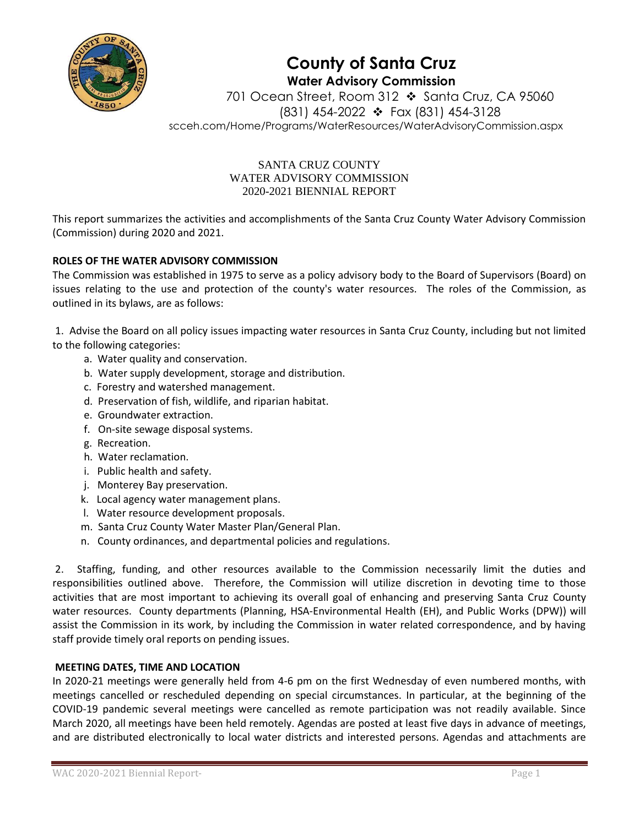

**County of Santa Cruz Water Advisory Commission**

701 Ocean Street, Room 312 ❖ Santa Cruz, CA 95060 (831) 454-2022 ❖ Fax (831) 454-3128 scceh.com/Home/Programs/WaterResources/WaterAdvisoryCommission.aspx

# SANTA CRUZ COUNTY WATER ADVISORY COMMISSION 2020-2021 BIENNIAL REPORT

This report summarizes the activities and accomplishments of the Santa Cruz County Water Advisory Commission (Commission) during 2020 and 2021.

# **ROLES OF THE WATER ADVISORY COMMISSION**

The Commission was established in 1975 to serve as a policy advisory body to the Board of Supervisors (Board) on issues relating to the use and protection of the county's water resources. The roles of the Commission, as outlined in its bylaws, are as follows:

1. Advise the Board on all policy issues impacting water resources in Santa Cruz County, including but not limited to the following categories:

- a. Water quality and conservation.
- b. Water supply development, storage and distribution.
- c. Forestry and watershed management.
- d. Preservation of fish, wildlife, and riparian habitat.
- e. Groundwater extraction.
- f. On-site sewage disposal systems.
- g. Recreation.
- h. Water reclamation.
- i. Public health and safety.
- j. Monterey Bay preservation.
- k. Local agency water management plans.
- l. Water resource development proposals.
- m. Santa Cruz County Water Master Plan/General Plan.
- n. County ordinances, and departmental policies and regulations.

2. Staffing, funding, and other resources available to the Commission necessarily limit the duties and responsibilities outlined above. Therefore, the Commission will utilize discretion in devoting time to those activities that are most important to achieving its overall goal of enhancing and preserving Santa Cruz County water resources. County departments (Planning, HSA-Environmental Health (EH), and Public Works (DPW)) will assist the Commission in its work, by including the Commission in water related correspondence, and by having staff provide timely oral reports on pending issues.

# **MEETING DATES, TIME AND LOCATION**

In 2020-21 meetings were generally held from 4-6 pm on the first Wednesday of even numbered months, with meetings cancelled or rescheduled depending on special circumstances. In particular, at the beginning of the COVID-19 pandemic several meetings were cancelled as remote participation was not readily available. Since March 2020, all meetings have been held remotely. Agendas are posted at least five days in advance of meetings, and are distributed electronically to local water districts and interested persons. Agendas and attachments are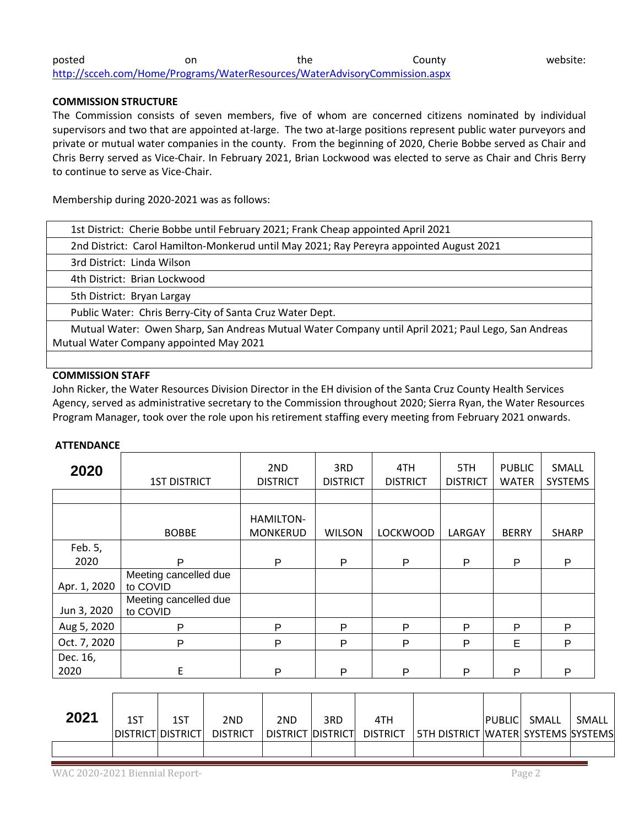| posted                                                                     | on | the | Countv | website: |
|----------------------------------------------------------------------------|----|-----|--------|----------|
| http://scceh.com/Home/Programs/WaterResources/WaterAdvisoryCommission.aspx |    |     |        |          |

#### **COMMISSION STRUCTURE**

The Commission consists of seven members, five of whom are concerned citizens nominated by individual supervisors and two that are appointed at-large. The two at-large positions represent public water purveyors and private or mutual water companies in the county. From the beginning of 2020, Cherie Bobbe served as Chair and Chris Berry served as Vice-Chair. In February 2021, Brian Lockwood was elected to serve as Chair and Chris Berry to continue to serve as Vice-Chair.

Membership during 2020-2021 was as follows:

| 1st District: Cherie Bobbe until February 2021; Frank Cheap appointed April 2021        |
|-----------------------------------------------------------------------------------------|
| 2nd District: Carol Hamilton-Monkerud until May 2021; Ray Pereyra appointed August 2021 |
| 3rd District: Linda Wilson                                                              |

4th District: Brian Lockwood

5th District: Bryan Largay

Public Water: Chris Berry-City of Santa Cruz Water Dept.

 Mutual Water: Owen Sharp, San Andreas Mutual Water Company until April 2021; Paul Lego, San Andreas Mutual Water Company appointed May 2021

### **COMMISSION STAFF**

John Ricker, the Water Resources Division Director in the EH division of the Santa Cruz County Health Services Agency, served as administrative secretary to the Commission throughout 2020; Sierra Ryan, the Water Resources Program Manager, took over the role upon his retirement staffing every meeting from February 2021 onwards.

#### **ATTENDANCE**

| 2020         | <b>1ST DISTRICT</b>               | 2ND<br><b>DISTRICT</b>       | 3RD<br><b>DISTRICT</b> | 4TH<br><b>DISTRICT</b> | 5TH<br><b>DISTRICT</b> | <b>PUBLIC</b><br>WATER | SMALL<br><b>SYSTEMS</b> |
|--------------|-----------------------------------|------------------------------|------------------------|------------------------|------------------------|------------------------|-------------------------|
|              |                                   |                              |                        |                        |                        |                        |                         |
|              | <b>BOBBE</b>                      | HAMILTON-<br><b>MONKERUD</b> | <b>WILSON</b>          | <b>LOCKWOOD</b>        | LARGAY                 | <b>BERRY</b>           | <b>SHARP</b>            |
| Feb. 5,      |                                   |                              |                        |                        |                        |                        |                         |
| 2020         | P                                 | P                            | P<br>P                 |                        | P                      | P                      | P                       |
| Apr. 1, 2020 | Meeting cancelled due<br>to COVID |                              |                        |                        |                        |                        |                         |
| Jun 3, 2020  | Meeting cancelled due<br>to COVID |                              |                        |                        |                        |                        |                         |
| Aug 5, 2020  | P                                 | P                            | P                      | P                      | P                      | P                      | P                       |
| Oct. 7, 2020 | P                                 | P                            | P                      | $\mathsf{P}$           | P                      | E                      | P                       |
| Dec. 16,     |                                   |                              |                        |                        |                        |                        |                         |
| 2020         | E                                 | P                            | P                      | P                      | P                      | P                      | P                       |

| 2021 | 1ST                 | 1ST | 2ND             | 2ND | 3RD | 4TH                          |                                         | <b>PUBLIC</b> | SMALL | SMALL |
|------|---------------------|-----|-----------------|-----|-----|------------------------------|-----------------------------------------|---------------|-------|-------|
|      | IDISTRICTIDISTRICTI |     | <b>DISTRICT</b> |     |     | DISTRICT  DISTRICT  DISTRICT | I 5TH DISTRICT IWATERI SYSTEMS ISYSTEMS |               |       |       |
|      |                     |     |                 |     |     |                              |                                         |               |       |       |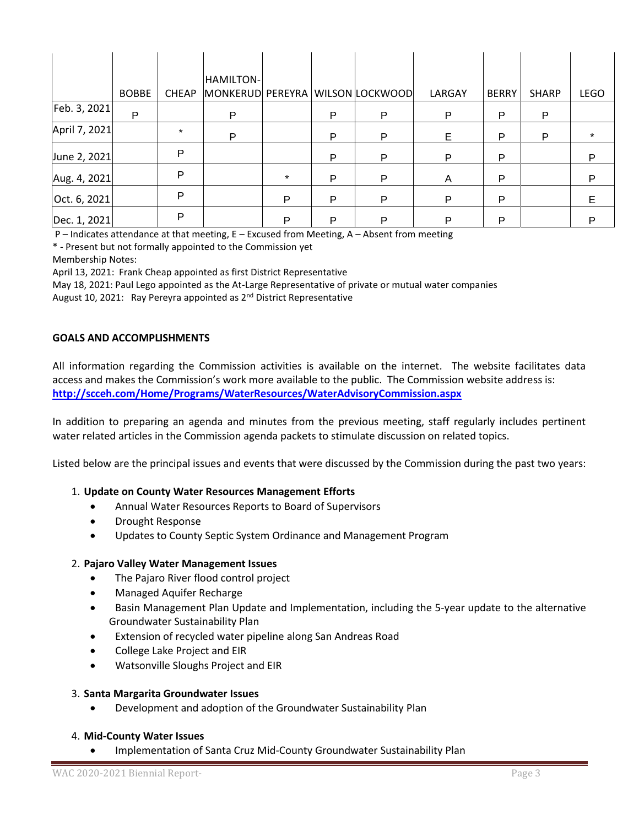|               |              |              | HAMILTON-                        |         |   |   |        |              |              |             |
|---------------|--------------|--------------|----------------------------------|---------|---|---|--------|--------------|--------------|-------------|
|               | <b>BOBBE</b> | <b>CHEAP</b> | MONKERUD PEREYRA WILSON LOCKWOOD |         |   |   | LARGAY | <b>BERRY</b> | <b>SHARP</b> | <b>LEGO</b> |
| Feb. 3, 2021  | P            |              | P                                |         | P | P | P      | P            | P            |             |
| April 7, 2021 |              | $\star$      | P                                |         | P | P | Е      | P            | P            |             |
| June 2, 2021  |              | P            |                                  |         | P | P | P      | P            |              | P           |
| Aug. 4, 2021  |              | P            |                                  | $\star$ | P | P | A      | P            |              | P           |
| Oct. 6, 2021  |              | Þ            |                                  | Р       | P | P | P      | P            |              | E.          |
| Dec. 1, 2021  |              | P            |                                  | P       | P | P | P      | P            |              | P           |

P – Indicates attendance at that meeting, E – Excused from Meeting, A – Absent from meeting

\* - Present but not formally appointed to the Commission yet

Membership Notes:

April 13, 2021: Frank Cheap appointed as first District Representative

May 18, 2021: Paul Lego appointed as the At-Large Representative of private or mutual water companies

August 10, 2021: Ray Pereyra appointed as 2<sup>nd</sup> District Representative

### **GOALS AND ACCOMPLISHMENTS**

All information regarding the Commission activities is available on the internet. The website facilitates data access and makes the Commission's work more available to the public. The Commission website address is: **<http://scceh.com/Home/Programs/WaterResources/WaterAdvisoryCommission.aspx>**

In addition to preparing an agenda and minutes from the previous meeting, staff regularly includes pertinent water related articles in the Commission agenda packets to stimulate discussion on related topics.

Listed below are the principal issues and events that were discussed by the Commission during the past two years:

### 1. **Update on County Water Resources Management Efforts**

- Annual Water Resources Reports to Board of Supervisors
- Drought Response
- Updates to County Septic System Ordinance and Management Program

### 2. **Pajaro Valley Water Management Issues**

- The Pajaro River flood control project
- Managed Aquifer Recharge
- Basin Management Plan Update and Implementation, including the 5-year update to the alternative Groundwater Sustainability Plan
- Extension of recycled water pipeline along San Andreas Road
- College Lake Project and EIR
- Watsonville Sloughs Project and EIR

### 3. **Santa Margarita Groundwater Issues**

• Development and adoption of the Groundwater Sustainability Plan

### 4. **Mid-County Water Issues**

• Implementation of Santa Cruz Mid-County Groundwater Sustainability Plan